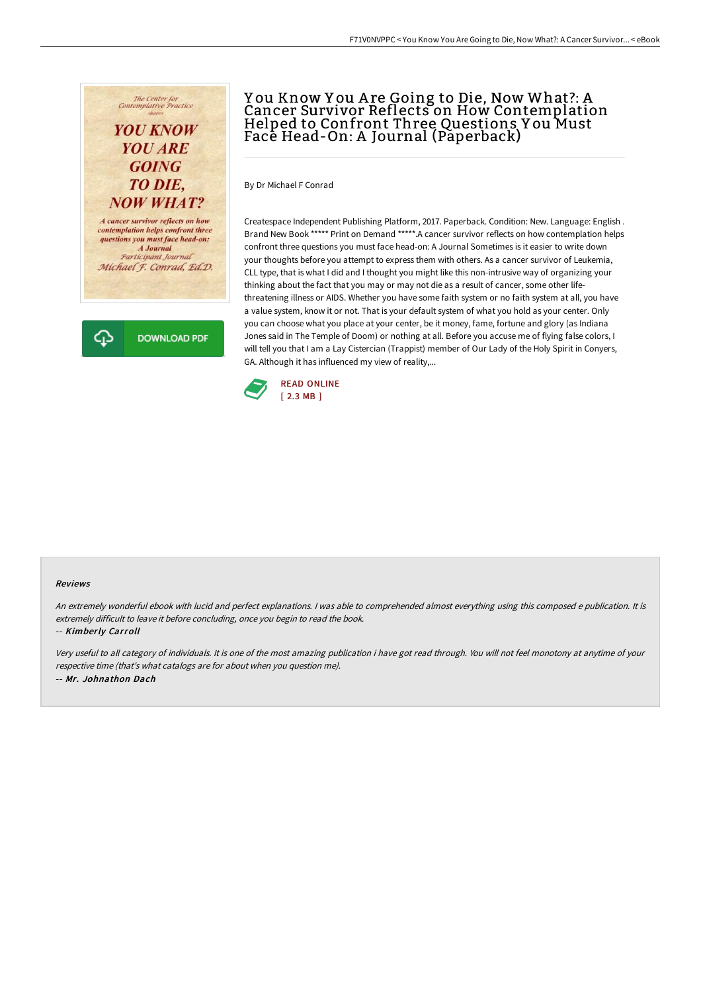# The Center for<br>Contemplative Practice **YOU KNOW**

## **YOU ARE GOING TO DIE. NOW WHAT?**

A cancer survivor reflects on how contemplation helps confront three questions you must face head-on: A Journal Participant Journal Michael F. Conrad, Ed.D.

**DOWNLOAD PDF** 

## Y ou Know Y ou A re Going to Die, Now What?: A Cancer Survivor Reflects on How Contemplation Helped to Confront Three Questions Y ou Must Face Head-On: A Journal (Paperback)

By Dr Michael F Conrad

Createspace Independent Publishing Platform, 2017. Paperback. Condition: New. Language: English . Brand New Book \*\*\*\*\* Print on Demand \*\*\*\*\*.A cancer survivor reflects on how contemplation helps confront three questions you must face head-on: A Journal Sometimes is it easier to write down your thoughts before you attempt to express them with others. As a cancer survivor of Leukemia, CLL type, that is what I did and I thought you might like this non-intrusive way of organizing your thinking about the fact that you may or may not die as a result of cancer, some other lifethreatening illness or AIDS. Whether you have some faith system or no faith system at all, you have a value system, know it or not. That is your default system of what you hold as your center. Only you can choose what you place at your center, be it money, fame, fortune and glory (as Indiana Jones said in The Temple of Doom) or nothing at all. Before you accuse me of flying false colors, I will tell you that I am a Lay Cistercian (Trappist) member of Our Lady of the Holy Spirit in Conyers, GA. Although it has influenced my view of reality,...



#### Reviews

An extremely wonderful ebook with lucid and perfect explanations. <sup>I</sup> was able to comprehended almost everything using this composed <sup>e</sup> publication. It is extremely difficult to leave it before concluding, once you begin to read the book.

#### -- Kimberly Carroll

⊕

Very useful to all category of individuals. It is one of the most amazing publication i have got read through. You will not feel monotony at anytime of your respective time (that's what catalogs are for about when you question me). -- Mr. Johnathon Dach